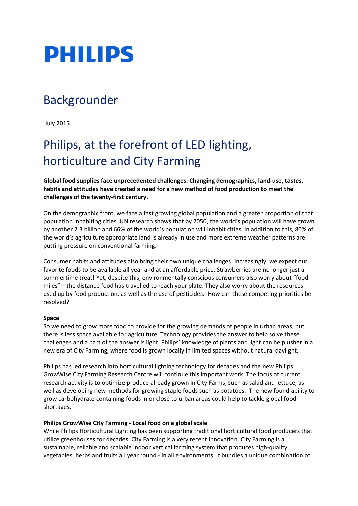

## Backgrounder

July 2015

# Philips, at the forefront of LED lighting, horticulture and City Farming

**Global food supplies face unprecedented challenges. Changing demographics, land-use, tastes, habits and attitudes have created a need for a new method of food production to meet the challenges of the twenty-first century.**

On the demographic front, we face a fast growing global population and a greater proportion of that population inhabiting cities. UN research shows that by 2050, the world's population will have grown by another 2.3 billion and 66% of the world's population will inhabit cities. In addition to this, 80% of the world's agriculture appropriate land is already in use and more extreme weather patterns are putting pressure on conventional farming.

Consumer habits and attitudes also bring their own unique challenges. Increasingly, we expect our favorite foods to be available all year and at an affordable price. Strawberries are no longer just a summertime treat! Yet, despite this, environmentally conscious consumers also worry about "food miles" – the distance food has travelled to reach your plate. They also worry about the resources used up by food production, as well as the use of pesticides. How can these competing priorities be resolved?

## **Space**

So we need to grow more food to provide for the growing demands of people in urban areas, but there is less space available for agriculture. Technology provides the answer to help solve these challenges and a part of the answer is light. Philips' knowledge of plants and light can help usher in a new era of City Farming, where food is grown locally in limited spaces without natural daylight.

Philips has led research into horticultural lighting technology for decades and the new Philips GrowWise City Farming Research Centre will continue this important work. The focus of current research activity is to optimize produce already grown in City Farms, such as salad and lettuce, as well as developing new methods for growing staple foods such as potatoes. The new found ability to grow carbohydrate containing foods in or close to urban areas could help to tackle global food shortages.

## **Philips GrowWise City Farming - Local food on a global scale**

While Philips Horticultural Lighting has been supporting traditional horticultural food producers that utilize greenhouses for decades, City Farming is a very recent innovation. City Farming is a sustainable, reliable and scalable indoor vertical farming system that produces high-quality vegetables, herbs and fruits all year round - in all environments. It bundles a unique combination of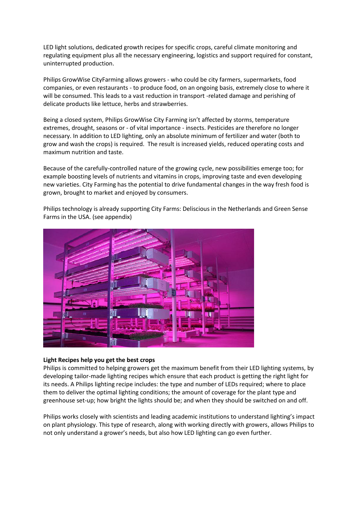LED light solutions, dedicated growth recipes for specific crops, careful climate monitoring and regulating equipment plus all the necessary engineering, logistics and support required for constant, uninterrupted production.

Philips GrowWise CityFarming allows growers - who could be city farmers, supermarkets, food companies, or even restaurants - to produce food, on an ongoing basis, extremely close to where it will be consumed. This leads to a vast reduction in transport -related damage and perishing of delicate products like lettuce, herbs and strawberries.

Being a closed system, Philips GrowWise City Farming isn't affected by storms, temperature extremes, drought, seasons or - of vital importance - insects. Pesticides are therefore no longer necessary. In addition to LED lighting, only an absolute minimum of fertilizer and water (both to grow and wash the crops) is required. The result is increased yields, reduced operating costs and maximum nutrition and taste.

Because of the carefully-controlled nature of the growing cycle, new possibilities emerge too; for example boosting levels of nutrients and vitamins in crops, improving taste and even developing new varieties. City Farming has the potential to drive fundamental changes in the way fresh food is grown, brought to market and enjoyed by consumers.

Philips technology is already supporting City Farms: Deliscious in the Netherlands and Green Sense Farms in the USA. (see appendix)



## **Light Recipes help you get the best crops**

Philips is committed to helping growers get the maximum benefit from their LED lighting systems, by developing tailor-made lighting recipes which ensure that each product is getting the right light for its needs. A Philips lighting recipe includes: the type and number of LEDs required; where to place them to deliver the optimal lighting conditions; the amount of coverage for the plant type and greenhouse set-up; how bright the lights should be; and when they should be switched on and off.

Philips works closely with scientists and leading academic institutions to understand lighting's impact on plant physiology. This type of research, along with working directly with growers, allows Philips to not only understand a grower's needs, but also how LED lighting can go even further.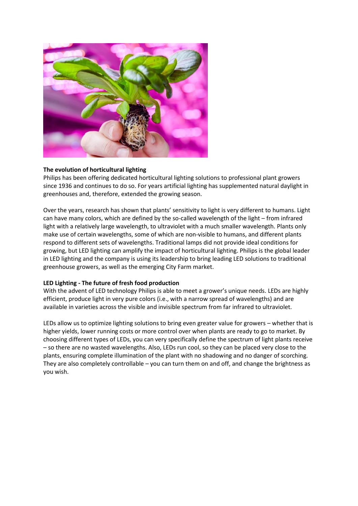

## **The evolution of horticultural lighting**

Philips has been offering dedicated horticultural lighting solutions to professional plant growers since 1936 and continues to do so. For years artificial lighting has supplemented natural daylight in greenhouses and, therefore, extended the growing season.

Over the years, research has shown that plants' sensitivity to light is very different to humans. Light can have many colors, which are defined by the so-called wavelength of the light – from infrared light with a relatively large wavelength, to ultraviolet with a much smaller wavelength. Plants only make use of certain wavelengths, some of which are non-visible to humans, and different plants respond to different sets of wavelengths. Traditional lamps did not provide ideal conditions for growing, but LED lighting can amplify the impact of horticultural lighting. Philips is the global leader in LED lighting and the company is using its leadership to bring leading LED solutions to traditional greenhouse growers, as well as the emerging City Farm market.

## **LED Lighting - The future of fresh food production**

With the advent of LED technology Philips is able to meet a grower's unique needs. LEDs are highly efficient, produce light in very pure colors (i.e., with a narrow spread of wavelengths) and are available in varieties across the visible and invisible spectrum from far infrared to ultraviolet.

LEDs allow us to optimize lighting solutions to bring even greater value for growers – whether that is higher yields, lower running costs or more control over when plants are ready to go to market. By choosing different types of LEDs, you can very specifically define the spectrum of light plants receive – so there are no wasted wavelengths. Also, LEDs run cool, so they can be placed very close to the plants, ensuring complete illumination of the plant with no shadowing and no danger of scorching. They are also completely controllable – you can turn them on and off, and change the brightness as you wish.